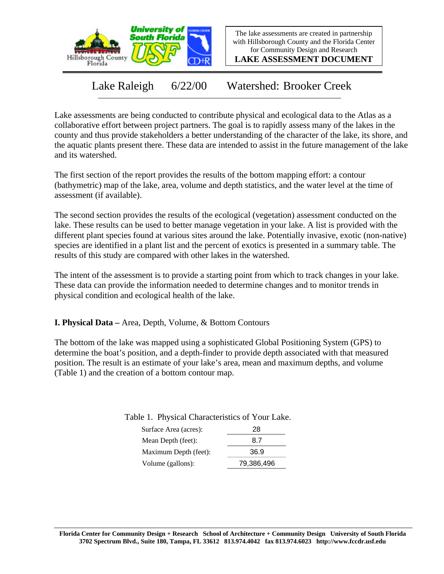

The lake assessments are created in partnership with Hillsborough County and the Florida Center for Community Design and Research

**LAKE ASSESSMENT DOCUMENT**

Lake Raleigh 6/22/00 Watershed: Brooker Creek

Lake assessments are being conducted to contribute physical and ecological data to the Atlas as a collaborative effort between project partners. The goal is to rapidly assess many of the lakes in the county and thus provide stakeholders a better understanding of the character of the lake, its shore, and the aquatic plants present there. These data are intended to assist in the future management of the lake and its watershed.

The first section of the report provides the results of the bottom mapping effort: a contour (bathymetric) map of the lake, area, volume and depth statistics, and the water level at the time of assessment (if available).

The second section provides the results of the ecological (vegetation) assessment conducted on the lake. These results can be used to better manage vegetation in your lake. A list is provided with the different plant species found at various sites around the lake. Potentially invasive, exotic (non-native) species are identified in a plant list and the percent of exotics is presented in a summary table. The results of this study are compared with other lakes in the watershed.

The intent of the assessment is to provide a starting point from which to track changes in your lake. These data can provide the information needed to determine changes and to monitor trends in physical condition and ecological health of the lake.

**I. Physical Data –** Area, Depth, Volume, & Bottom Contours

The bottom of the lake was mapped using a sophisticated Global Positioning System (GPS) to determine the boat's position, and a depth-finder to provide depth associated with that measured position. The result is an estimate of your lake's area, mean and maximum depths, and volume (Table 1) and the creation of a bottom contour map.

Table 1. Physical Characteristics of Your Lake.

| Surface Area (acres): | 28         |
|-----------------------|------------|
| Mean Depth (feet):    | 8.7        |
| Maximum Depth (feet): | 36.9       |
| Volume (gallons):     | 79,386,496 |
|                       |            |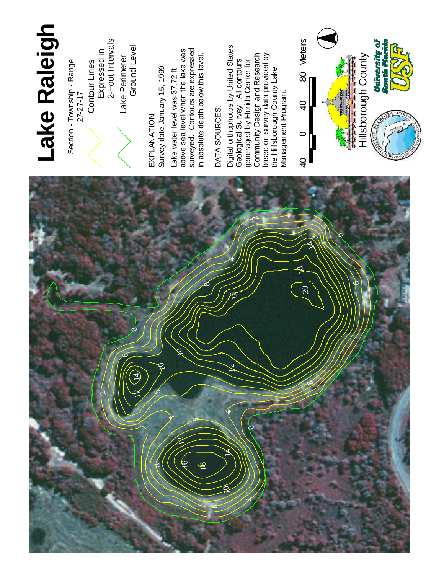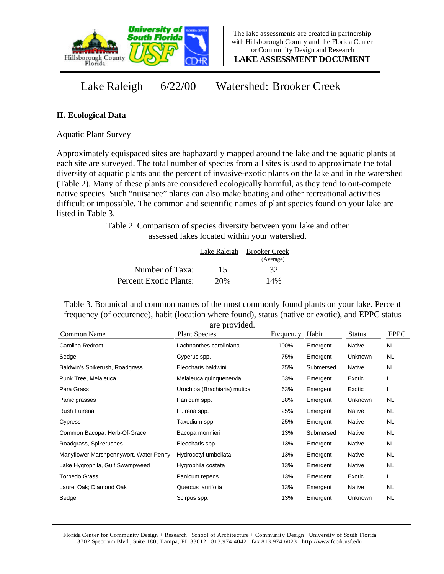

**LAKE ASSESSMENT DOCUMENT**

Lake Raleigh 6/22/00 Watershed: Brooker Creek

## **II. Ecological Data**

Aquatic Plant Survey

Approximately equispaced sites are haphazardly mapped around the lake and the aquatic plants at each site are surveyed. The total number of species from all sites is used to approximate the total diversity of aquatic plants and the percent of invasive-exotic plants on the lake and in the watershed (Table 2). Many of these plants are considered ecologically harmful, as they tend to out-compete native species. Such "nuisance" plants can also make boating and other recreational activities difficult or impossible. The common and scientific names of plant species found on your lake are listed in Table 3.

> Table 2. Comparison of species diversity between your lake and other assessed lakes located within your watershed.

|                        |     | Lake Raleigh Brooker Creek |  |
|------------------------|-----|----------------------------|--|
|                        |     | (Average)                  |  |
| Number of Taxa:        | 15  | 32                         |  |
| Percent Exotic Plants: | 20% | 14%                        |  |

Table 3. Botanical and common names of the most commonly found plants on your lake. Percent frequency (of occurence), habit (location where found), status (native or exotic), and EPPC status are provided.

| Common Name                            | <b>Plant Species</b>         | Frequency | Habit     | <b>Status</b> | <b>EPPC</b> |
|----------------------------------------|------------------------------|-----------|-----------|---------------|-------------|
| Carolina Redroot                       | Lachnanthes caroliniana      | 100%      | Emergent  | Native        | <b>NL</b>   |
| Sedge                                  | Cyperus spp.                 | 75%       | Emergent  | Unknown       | NL.         |
| Baldwin's Spikerush, Roadgrass         | Eleocharis baldwinii         | 75%       | Submersed | Native        | NL          |
| Punk Tree, Melaleuca                   | Melaleuca quinquenervia      | 63%       | Emergent  | Exotic        |             |
| Para Grass                             | Urochloa (Brachiaria) mutica | 63%       | Emergent  | Exotic        |             |
| Panic grasses                          | Panicum spp.                 | 38%       | Emergent  | Unknown       | NL          |
| Rush Fuirena                           | Fuirena spp.                 | 25%       | Emergent  | Native        | NL.         |
| Cypress                                | Taxodium spp.                | 25%       | Emergent  | Native        | NL.         |
| Common Bacopa, Herb-Of-Grace           | Bacopa monnieri              | 13%       | Submersed | Native        | NL.         |
| Roadgrass, Spikerushes                 | Eleocharis spp.              | 13%       | Emergent  | Native        | NL          |
| Manyflower Marshpennywort, Water Penny | Hydrocotyl umbellata         | 13%       | Emergent  | Native        | NL.         |
| Lake Hygrophila, Gulf Swampweed        | Hygrophila costata           | 13%       | Emergent  | Native        | NL          |
| <b>Torpedo Grass</b>                   | Panicum repens               | 13%       | Emergent  | Exotic        |             |
| Laurel Oak; Diamond Oak                | Quercus laurifolia           | 13%       | Emergent  | Native        | NL.         |
| Sedge                                  | Scirpus spp.                 | 13%       | Emergent  | Unknown       | NL.         |

Florida Center for Community Design + Research School of Architecture + Community Design University of South Florida 3702 Spectrum Blvd., Suite 180, Tampa, FL 33612 813.974.4042 fax 813.974.6023 http://www.fccdr.usf.edu